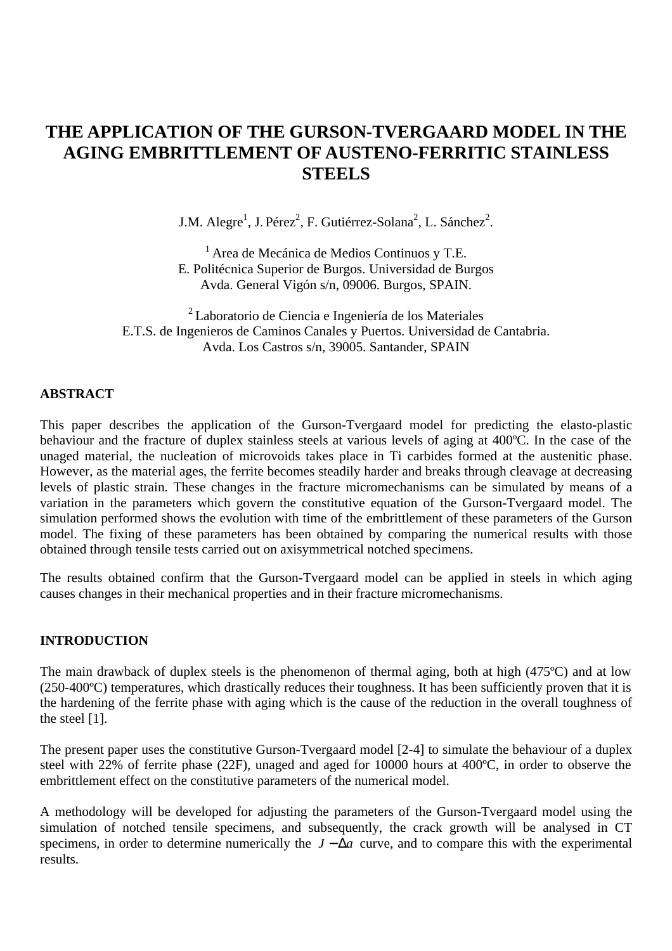# **THE APPLICATION OF THE GURSON-TVERGAARD MODEL IN THE AGING EMBRITTLEMENT OF AUSTENO-FERRITIC STAINLESS STEELS**

J.M. Alegre<sup>1</sup>, J. Pérez<sup>2</sup>, F. Gutiérrez-Solana<sup>2</sup>, L. Sánchez<sup>2</sup>.

<sup>1</sup>Area de Mecánica de Medios Continuos y T.E. E. Politécnica Superior de Burgos. Universidad de Burgos Avda. General Vigón s/n, 09006. Burgos, SPAIN.

<sup>2</sup>Laboratorio de Ciencia e Ingeniería de los Materiales E.T.S. de Ingenieros de Caminos Canales y Puertos. Universidad de Cantabria. Avda. Los Castros s/n, 39005. Santander, SPAIN

## **ABSTRACT**

This paper describes the application of the Gurson-Tvergaard model for predicting the elasto-plastic behaviour and the fracture of duplex stainless steels at various levels of aging at 400ºC. In the case of the unaged material, the nucleation of microvoids takes place in Ti carbides formed at the austenitic phase. However, as the material ages, the ferrite becomes steadily harder and breaks through cleavage at decreasing levels of plastic strain. These changes in the fracture micromechanisms can be simulated by means of a variation in the parameters which govern the constitutive equation of the Gurson-Tvergaard model. The simulation performed shows the evolution with time of the embrittlement of these parameters of the Gurson model. The fixing of these parameters has been obtained by comparing the numerical results with those obtained through tensile tests carried out on axisymmetrical notched specimens.

The results obtained confirm that the Gurson-Tvergaard model can be applied in steels in which aging causes changes in their mechanical properties and in their fracture micromechanisms.

## **INTRODUCTION**

The main drawback of duplex steels is the phenomenon of thermal aging, both at high (475ºC) and at low (250-400ºC) temperatures, which drastically reduces their toughness. It has been sufficiently proven that it is the hardening of the ferrite phase with aging which is the cause of the reduction in the overall toughness of the steel [1].

The present paper uses the constitutive Gurson-Tvergaard model [2-4] to simulate the behaviour of a duplex steel with 22% of ferrite phase (22F), unaged and aged for 10000 hours at 400ºC, in order to observe the embrittlement effect on the constitutive parameters of the numerical model.

A methodology will be developed for adjusting the parameters of the Gurson-Tvergaard model using the simulation of notched tensile specimens, and subsequently, the crack growth will be analysed in CT specimens, in order to determine numerically the  $J - \bar{D}a$  curve, and to compare this with the experimental results.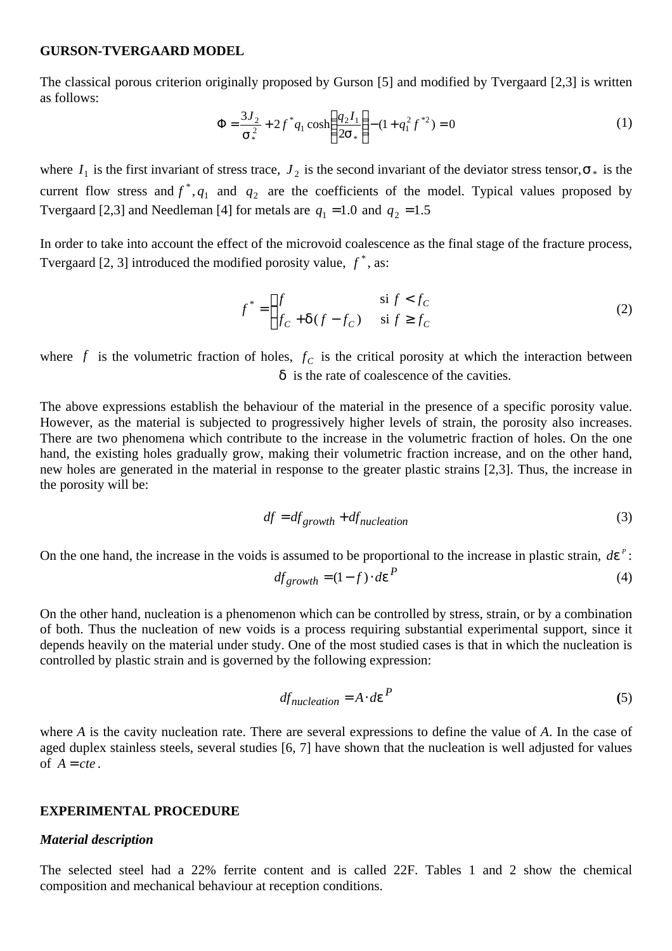#### **GURSON-TVERGAARD MODEL**

The classical porous criterion originally proposed by Gurson [5] and modified by Tvergaard [2,3] is written as follows:

$$
\Phi = \frac{3J_2}{\mathbf{s}_*^2} + 2f^* q_1 \cosh\left(\frac{q_2 I_1}{2\mathbf{s}_*}\right) - (1 + q_1^2 f^{*2}) = 0 \tag{1}
$$

where  $I_1$  is the first invariant of stress trace,  $J_2$  is the second invariant of the deviator stress tensor,  $S_*$  is the current flow stress and  $f^*$ ,  $q_1$  and  $q_2$  are the coefficients of the model. Typical values proposed by Tvergaard [2,3] and Needleman [4] for metals are  $q_1 = 1.0$  and  $q_2 = 1.5$ 

In order to take into account the effect of the microvoid coalescence as the final stage of the fracture process, Tvergaard  $[2, 3]$  introduced the modified porosity value,  $f^*$ , as:

$$
f^* = \begin{cases} f & \text{si } f < f_C \\ f_C + d(f - f_C) & \text{si } f \ge f_C \end{cases}
$$
 (2)

where  $f$  is the volumetric fraction of holes,  $f_c$  is the critical porosity at which the interaction between *d* is the rate of coalescence of the cavities.

The above expressions establish the behaviour of the material in the presence of a specific porosity value. However, as the material is subjected to progressively higher levels of strain, the porosity also increases. There are two phenomena which contribute to the increase in the volumetric fraction of holes. On the one hand, the existing holes gradually grow, making their volumetric fraction increase, and on the other hand, new holes are generated in the material in response to the greater plastic strains [2,3]. Thus, the increase in the porosity will be:

$$
df = df_{growth} + df_{nucleation}
$$
 (3)

On the one hand, the increase in the voids is assumed to be proportional to the increase in plastic strain,  $d\mathbf{e}^P$ :

$$
df_{growth} = (1 - f) \cdot d\mathbf{e}^{P}
$$
 (4)

On the other hand, nucleation is a phenomenon which can be controlled by stress, strain, or by a combination of both. Thus the nucleation of new voids is a process requiring substantial experimental support, since it depends heavily on the material under study. One of the most studied cases is that in which the nucleation is controlled by plastic strain and is governed by the following expression:

$$
df_{nucleation} = A \cdot d\mathbf{e}^{P}
$$
 (5)

where *A* is the cavity nucleation rate. There are several expressions to define the value of *A*. In the case of aged duplex stainless steels, several studies [6, 7] have shown that the nucleation is well adjusted for values of  $A = cte$ .

#### **EXPERIMENTAL PROCEDURE**

#### *Material description*

The selected steel had a 22% ferrite content and is called 22F. Tables 1 and 2 show the chemical composition and mechanical behaviour at reception conditions.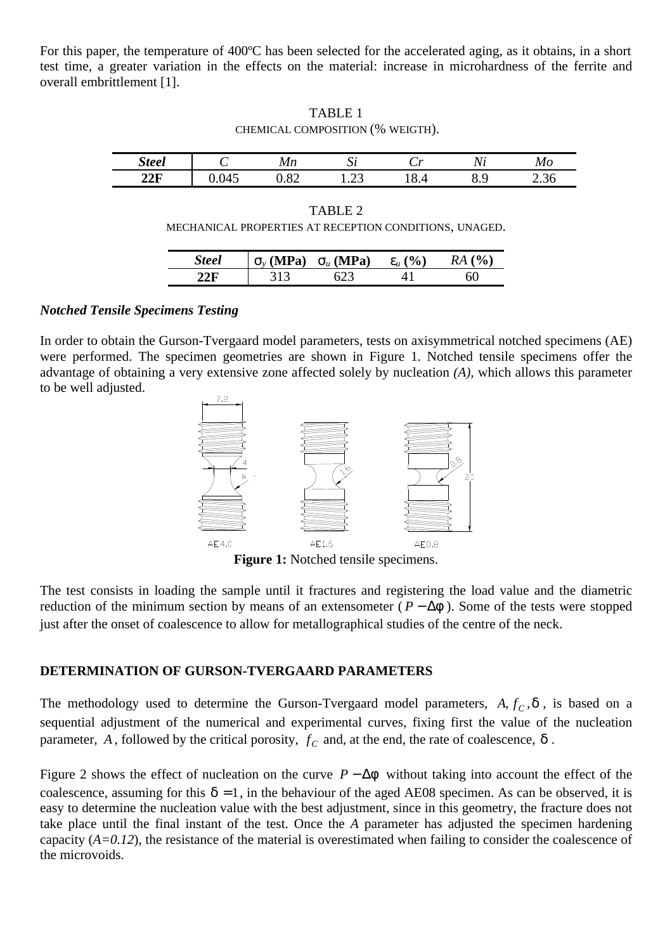For this paper, the temperature of 400<sup>o</sup>C has been selected for the accelerated aging, as it obtains, in a short test time, a greater variation in the effects on the material: increase in microhardness of the ferrite and overall embrittlement [1].

TABLE 1 CHEMICAL COMPOSITION (% WEIGTH).

| Steel |                     | ^ מי<br>$\mathbf{v}$ | ົມເ                                    | 74              | . .     | Мc  |
|-------|---------------------|----------------------|----------------------------------------|-----------------|---------|-----|
| 22F   | $\overline{A}$<br>ட | $\circ$<br>z<br>⊿.ט  | . .<br>$\overline{1}$ . $\overline{2}$ | ъ.<br>д<br>้∿.− | O<br>◡. | ∠.ບ |

TABLE 2 MECHANICAL PROPERTIES AT RECEPTION CONDITIONS, UNAGED.

| <b>Steel</b> |     | $\mathbf{s}_{v}$ (MPa) $\mathbf{s}_{u}$ (MPa) | $e_{\mu}$ (%) | $RA($ %) |
|--------------|-----|-----------------------------------------------|---------------|----------|
|              | 313 |                                               |               |          |

## *Notched Tensile Specimens Testing*

In order to obtain the Gurson-Tvergaard model parameters, tests on axisymmetrical notched specimens (AE) were performed. The specimen geometries are shown in Figure 1. Notched tensile specimens offer the advantage of obtaining a very extensive zone affected solely by nucleation *(A),* which allows this parameter to be well adjusted.



**Figure 1:** Notched tensile specimens.

The test consists in loading the sample until it fractures and registering the load value and the diametric reduction of the minimum section by means of an extensometer ( $P - \Delta f$ ). Some of the tests were stopped just after the onset of coalescence to allow for metallographical studies of the centre of the neck.

## **DETERMINATION OF GURSON-TVERGAARD PARAMETERS**

The methodology used to determine the Gurson-Tvergaard model parameters,  $A, f_C, d$ , is based on a sequential adjustment of the numerical and experimental curves, fixing first the value of the nucleation parameter,  $A$ , followed by the critical porosity,  $f_C$  and, at the end, the rate of coalescence,  $\boldsymbol{d}$ .

Figure 2 shows the effect of nucleation on the curve  $P - \Delta f$  without taking into account the effect of the coalescence, assuming for this  $\mathbf{d} = 1$ , in the behaviour of the aged AE08 specimen. As can be observed, it is easy to determine the nucleation value with the best adjustment, since in this geometry, the fracture does not take place until the final instant of the test. Once the *A* parameter has adjusted the specimen hardening capacity  $(A=0.12)$ , the resistance of the material is overestimated when failing to consider the coalescence of the microvoids.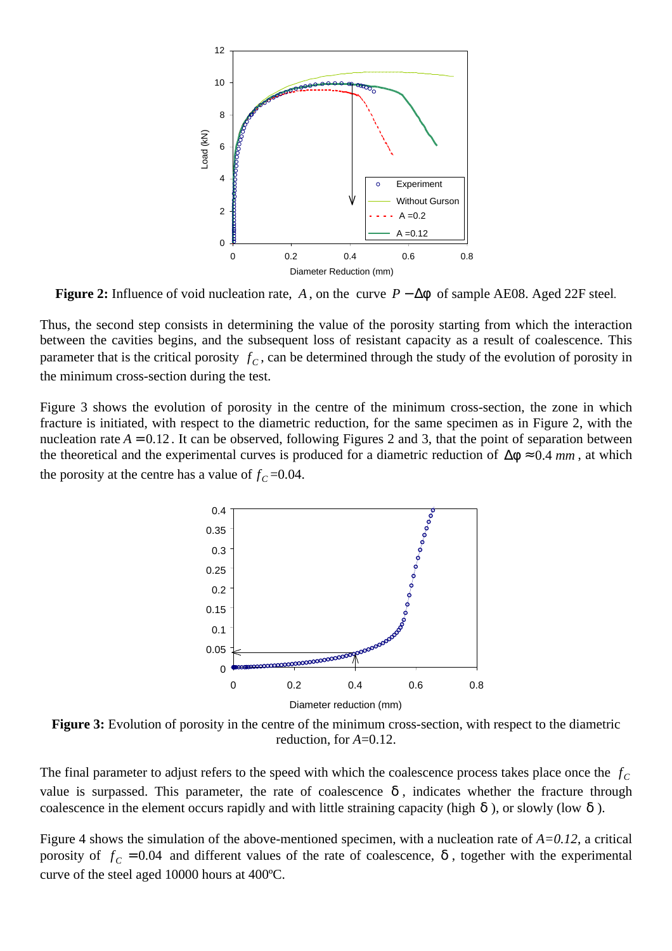

**Figure 2:** Influence of void nucleation rate, A, on the curve  $P - \Delta f$  of sample AE08. Aged 22F steel.

Thus, the second step consists in determining the value of the porosity starting from which the interaction between the cavities begins, and the subsequent loss of resistant capacity as a result of coalescence. This parameter that is the critical porosity  $f_c$ , can be determined through the study of the evolution of porosity in the minimum cross-section during the test.

Figure 3 shows the evolution of porosity in the centre of the minimum cross-section, the zone in which fracture is initiated, with respect to the diametric reduction, for the same specimen as in Figure 2, with the nucleation rate  $A = 0.12$ . It can be observed, following Figures 2 and 3, that the point of separation between the theoretical and the experimental curves is produced for a diametric reduction of  $\mathbf{Df} \approx 0.4 \, \text{mm}$ , at which the porosity at the centre has a value of  $f_c$  =0.04.



**Figure 3:** Evolution of porosity in the centre of the minimum cross-section, with respect to the diametric reduction, for *A*=0.12.

The final parameter to adjust refers to the speed with which the coalescence process takes place once the  $f_C$ value is surpassed. This parameter, the rate of coalescence  $d$ , indicates whether the fracture through coalescence in the element occurs rapidly and with little straining capacity (high *d* ), or slowly (low *d* ).

Figure 4 shows the simulation of the above-mentioned specimen, with a nucleation rate of  $A=0.12$ , a critical porosity of  $f_c = 0.04$  and different values of the rate of coalescence,  $\boldsymbol{d}$ , together with the experimental curve of the steel aged 10000 hours at 400ºC.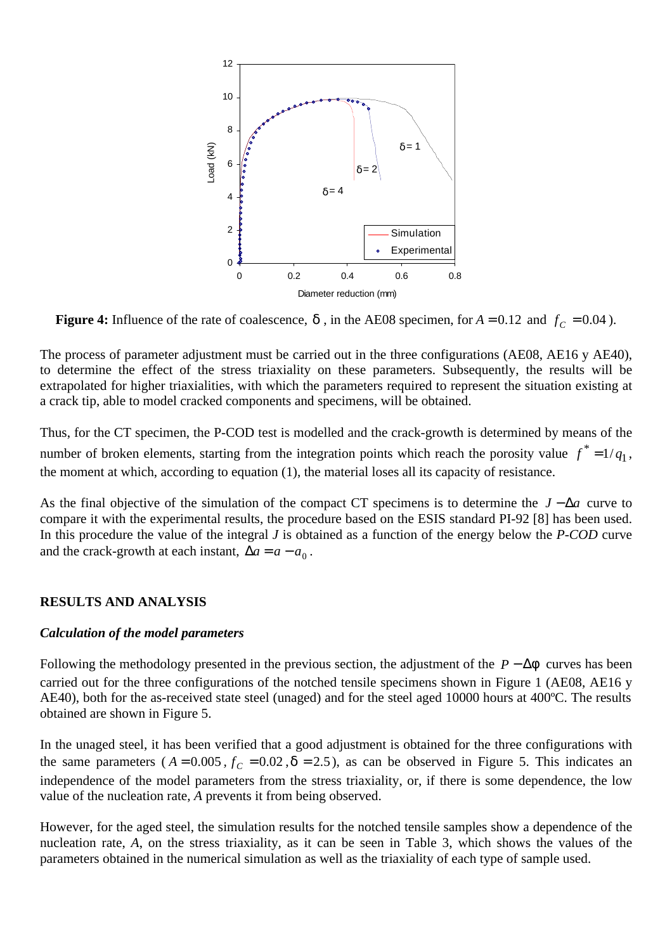

**Figure 4:** Influence of the rate of coalescence, *d*, in the AE08 specimen, for  $A = 0.12$  and  $f_C = 0.04$ ).

The process of parameter adjustment must be carried out in the three configurations (AE08, AE16 y AE40), to determine the effect of the stress triaxiality on these parameters. Subsequently, the results will be extrapolated for higher triaxialities, with which the parameters required to represent the situation existing at a crack tip, able to model cracked components and specimens, will be obtained.

Thus, for the CT specimen, the P-COD test is modelled and the crack-growth is determined by means of the number of broken elements, starting from the integration points which reach the porosity value  $f^* = 1/q_1$ , the moment at which, according to equation (1), the material loses all its capacity of resistance.

As the final objective of the simulation of the compact CT specimens is to determine the *J* − Δ*a* curve to compare it with the experimental results, the procedure based on the ESIS standard PI-92 [8] has been used. In this procedure the value of the integral *J* is obtained as a function of the energy below the *P-COD* curve and the crack-growth at each instant,  $\Delta a = a - a_0$ .

# **RESULTS AND ANALYSIS**

## *Calculation of the model parameters*

Following the methodology presented in the previous section, the adjustment of the  $P - \Delta f$  curves has been carried out for the three configurations of the notched tensile specimens shown in Figure 1 (AE08, AE16 y AE40), both for the as-received state steel (unaged) and for the steel aged 10000 hours at 400ºC. The results obtained are shown in Figure 5.

In the unaged steel, it has been verified that a good adjustment is obtained for the three configurations with the same parameters ( $A = 0.005$ ,  $f_C = 0.02$ ,  $d = 2.5$ ), as can be observed in Figure 5. This indicates an independence of the model parameters from the stress triaxiality, or, if there is some dependence, the low value of the nucleation rate, *A* prevents it from being observed.

However, for the aged steel, the simulation results for the notched tensile samples show a dependence of the nucleation rate, *A*, on the stress triaxiality, as it can be seen in Table 3, which shows the values of the parameters obtained in the numerical simulation as well as the triaxiality of each type of sample used.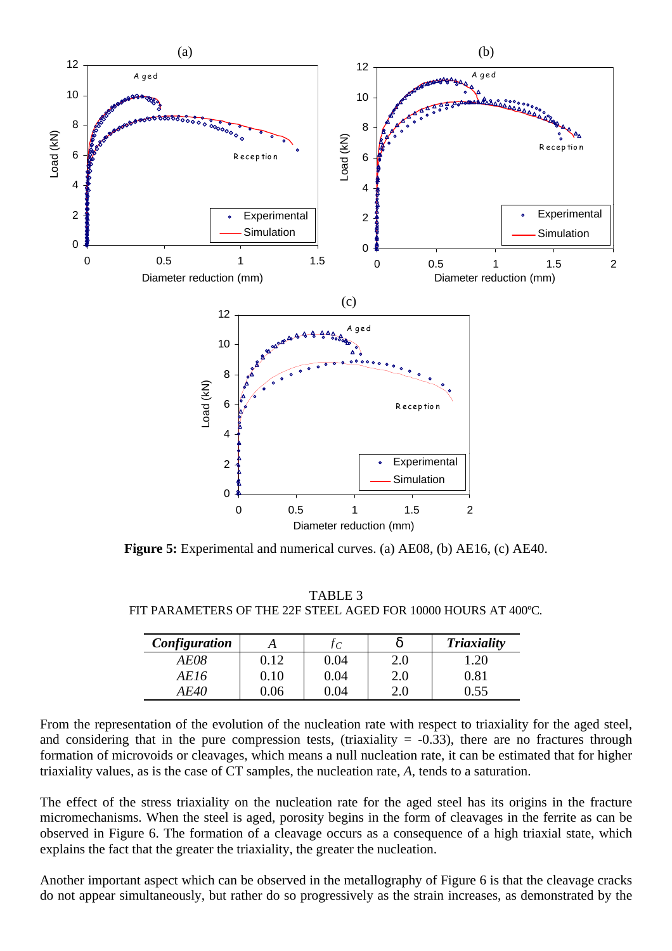

**Figure 5:** Experimental and numerical curves. (a) AE08, (b) AE16, (c) AE40.

TABLE 3 FIT PARAMETERS OF THE 22F STEEL AGED FOR 10000 HOURS AT 400ºC.

| Configuration |          | l C  | а       | <b>Triaxiality</b> |
|---------------|----------|------|---------|--------------------|
| AE08          | 0.12     | 0.04 | 2.0     | 1.20               |
| AE16          | $0.10\,$ | 0.04 | $2.0\,$ | $\rm 0.81$         |
| A F.40        | 0.06     | በ በ4 | 2.0     | 1.55               |

From the representation of the evolution of the nucleation rate with respect to triaxiality for the aged steel, and considering that in the pure compression tests, (triaxiality  $= -0.33$ ), there are no fractures through formation of microvoids or cleavages, which means a null nucleation rate, it can be estimated that for higher triaxiality values, as is the case of CT samples, the nucleation rate, *A*, tends to a saturation.

The effect of the stress triaxiality on the nucleation rate for the aged steel has its origins in the fracture micromechanisms. When the steel is aged, porosity begins in the form of cleavages in the ferrite as can be observed in Figure 6. The formation of a cleavage occurs as a consequence of a high triaxial state, which explains the fact that the greater the triaxiality, the greater the nucleation.

Another important aspect which can be observed in the metallography of Figure 6 is that the cleavage cracks do not appear simultaneously, but rather do so progressively as the strain increases, as demonstrated by the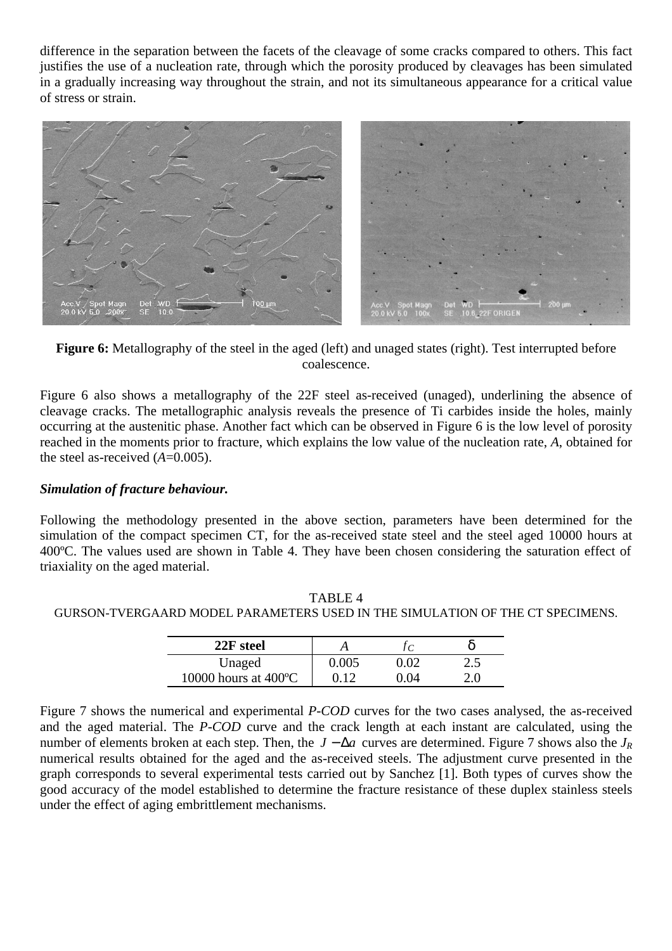difference in the separation between the facets of the cleavage of some cracks compared to others. This fact justifies the use of a nucleation rate, through which the porosity produced by cleavages has been simulated in a gradually increasing way throughout the strain, and not its simultaneous appearance for a critical value of stress or strain.



**Figure 6:** Metallography of the steel in the aged (left) and unaged states (right). Test interrupted before coalescence.

Figure 6 also shows a metallography of the 22F steel as-received (unaged), underlining the absence of cleavage cracks. The metallographic analysis reveals the presence of Ti carbides inside the holes, mainly occurring at the austenitic phase. Another fact which can be observed in Figure 6 is the low level of porosity reached in the moments prior to fracture, which explains the low value of the nucleation rate, *A*, obtained for the steel as-received (*A*=0.005).

# *Simulation of fracture behaviour.*

Following the methodology presented in the above section, parameters have been determined for the simulation of the compact specimen CT, for the as-received state steel and the steel aged 10000 hours at 400ºC. The values used are shown in Table 4. They have been chosen considering the saturation effect of triaxiality on the aged material.

| GURSON-TVERGAARD MODEL PARAMETERS USED IN THE SIMULATION OF THE CT SPECIMENS. |             |  |  |  |  |
|-------------------------------------------------------------------------------|-------------|--|--|--|--|
|                                                                               | $22F$ steel |  |  |  |  |

TABLE 4

| 22F steel                      |     |    |        |
|--------------------------------|-----|----|--------|
| Unaged                         | 005 |    | ل که ک |
| 10000 hours at $400^{\circ}$ C |     | 04 |        |

Figure 7 shows the numerical and experimental *P-COD* curves for the two cases analysed, the as-received and the aged material. The *P-COD* curve and the crack length at each instant are calculated, using the number of elements broken at each step. Then, the *J* − *Da* curves are determined. Figure 7 shows also the *J<sup>R</sup>* numerical results obtained for the aged and the as-received steels. The adjustment curve presented in the graph corresponds to several experimental tests carried out by Sanchez [1]. Both types of curves show the good accuracy of the model established to determine the fracture resistance of these duplex stainless steels under the effect of aging embrittlement mechanisms.